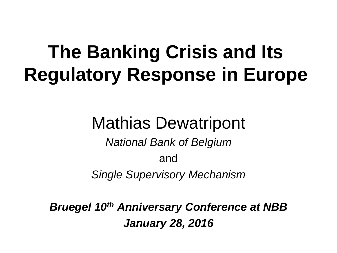# **The Banking Crisis and Its Regulatory Response in Europe**

### Mathias Dewatripont

*National Bank of Belgium* and *Single Supervisory Mechanism*

*Bruegel 10th Anniversary Conference at NBB January 28, 2016*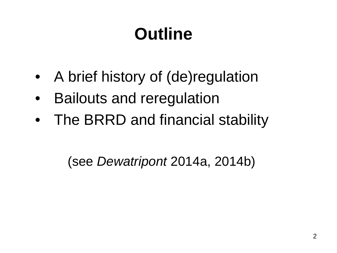# **Outline**

- A brief history of (de) regulation
- Bailouts and reregulation
- The BRRD and financial stability

(see *Dewatripont* 2014a, 2014b)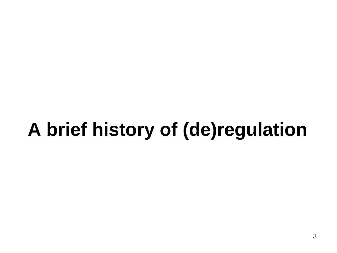# **A brief history of (de)regulation**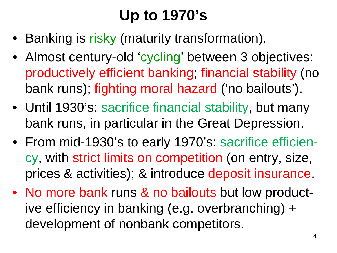## **Up to 1970's**

- Banking is risky (maturity transformation).
- Almost century-old 'cycling' between 3 objectives: productively efficient banking; financial stability (no bank runs); fighting moral hazard ('no bailouts').
- Until 1930's: sacrifice financial stability, but many bank runs, in particular in the Great Depression.
- From mid-1930's to early 1970's: sacrifice efficiency, with strict limits on competition (on entry, size, prices & activities); & introduce deposit insurance.
- No more bank runs & no bailouts but low productive efficiency in banking (e.g. overbranching) + development of nonbank competitors.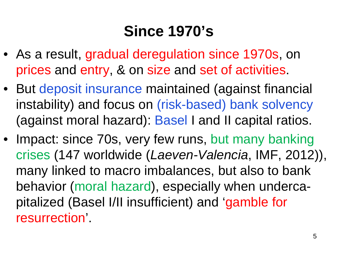#### **Since 1970's**

- As a result, gradual deregulation since 1970s, on prices and entry, & on size and set of activities.
- But deposit insurance maintained (against financial instability) and focus on (risk-based) bank solvency (against moral hazard): Basel I and II capital ratios.
- Impact: since 70s, very few runs, but many banking crises (147 worldwide (*Laeven-Valencia*, IMF, 2012)), many linked to macro imbalances, but also to bank behavior (moral hazard), especially when undercapitalized (Basel I/II insufficient) and 'gamble for resurrection'.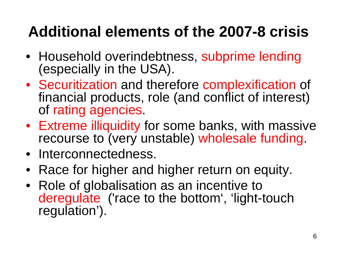## **Additional elements of the 2007-8 crisis**

- Household overindebtness, subprime lending (especially in the USA).
- Securitization and therefore complexification of financial products, role (and conflict of interest) of rating agencies.
- Extreme illiquidity for some banks, with massive recourse to (very unstable) wholesale funding.
- Interconnectedness.
- Race for higher and higher return on equity.
- Role of globalisation as an incentive to deregulate ('race to the bottom', 'light-touch regulation').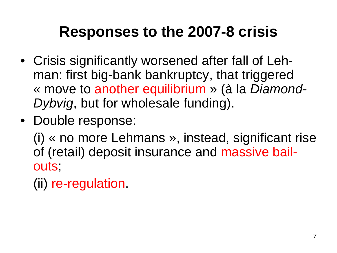#### **Responses to the 2007-8 crisis**

- Crisis significantly worsened after fall of Lehman: first big-bank bankruptcy, that triggered « move to another equilibrium » (à la *Diamond-Dybvig*, but for wholesale funding).
- Double response:

(i) « no more Lehmans », instead, significant rise of (retail) deposit insurance and massive bailouts;

(ii) re-regulation.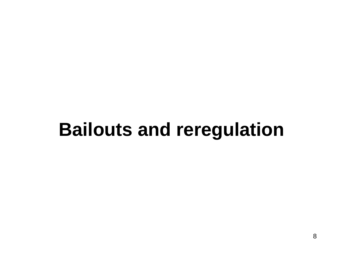## **Bailouts and reregulation**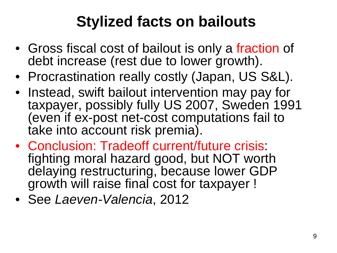### **Stylized facts on bailouts**

- Gross fiscal cost of bailout is only a fraction of debt increase (rest due to lower growth).
- Procrastination really costly (Japan, US S&L).
- Instead, swift bailout intervention may pay for taxpayer, possibly fully US 2007, Sweden 1991 (even if ex-post net-cost computations fail to take into account risk premia).
- Conclusion: Tradeoff current/future crisis: fighting moral hazard good, but NOT worth delaying restructuring, because lower GDP growth will raise final cost for taxpayer !
- See *Laeven-Valencia*, 2012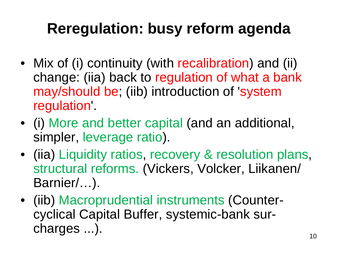### **Reregulation: busy reform agenda**

- Mix of (i) continuity (with recalibration) and (ii) change: (iia) back to regulation of what a bank may/should be; (iib) introduction of 'system regulation'.
- (i) More and better capital (and an additional, simpler, leverage ratio).
- (iia) Liquidity ratios, recovery & resolution plans, structural reforms. (Vickers, Volcker, Liikanen/ Barnier/…).
- (iib) Macroprudential instruments (Countercyclical Capital Buffer, systemic-bank surcharges ...).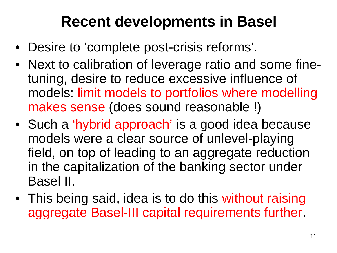#### **Recent developments in Basel**

- Desire to 'complete post-crisis reforms'.
- Next to calibration of leverage ratio and some finetuning, desire to reduce excessive influence of models: limit models to portfolios where modelling makes sense (does sound reasonable !)
- Such a 'hybrid approach' is a good idea because models were a clear source of unlevel-playing field, on top of leading to an aggregate reduction in the capitalization of the banking sector under Basel II.
- This being said, idea is to do this without raising aggregate Basel-III capital requirements further.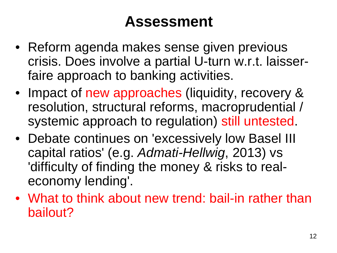#### **Assessment**

- Reform agenda makes sense given previous crisis. Does involve a partial U-turn w.r.t. laisserfaire approach to banking activities.
- Impact of new approaches (liquidity, recovery & resolution, structural reforms, macroprudential / systemic approach to regulation) still untested.
- Debate continues on 'excessively low Basel III capital ratios' (e.g. *Admati-Hellwig*, 2013) vs 'difficulty of finding the money & risks to realeconomy lending'.
- What to think about new trend: bail-in rather than bailout?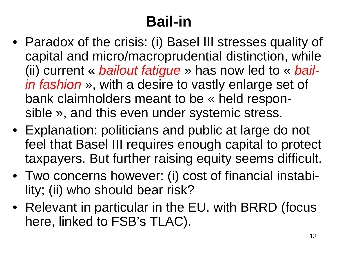## **Bail-in**

- Paradox of the crisis: (i) Basel III stresses quality of capital and micro/macroprudential distinction, while (ii) current « *bailout fatigue* » has now led to « *bailin fashion* », with a desire to vastly enlarge set of bank claimholders meant to be « held responsible », and this even under systemic stress.
- Explanation: politicians and public at large do not feel that Basel III requires enough capital to protect taxpayers. But further raising equity seems difficult.
- Two concerns however: (i) cost of financial instability; (ii) who should bear risk?
- Relevant in particular in the EU, with BRRD (focus here, linked to FSB's TLAC).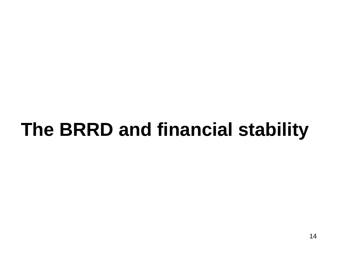# **The BRRD and financial stability**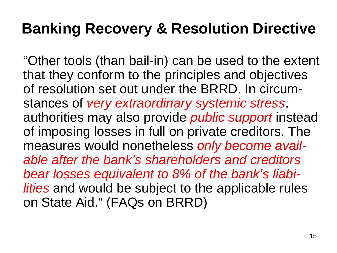"Other tools (than bail-in) can be used to the extent that they conform to the principles and objectives of resolution set out under the BRRD. In circumstances of *very extraordinary systemic stress*, authorities may also provide *public support* instead of imposing losses in full on private creditors. The measures would nonetheless *only become available after the bank's shareholders and creditors bear losses equivalent to 8% of the bank's liabilities* and would be subject to the applicable rules on State Aid." (FAQs on BRRD)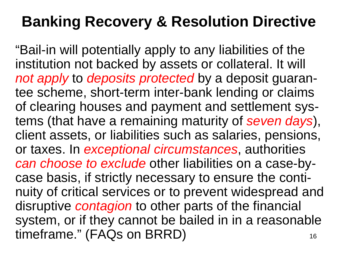16 "Bail-in will potentially apply to any liabilities of the institution not backed by assets or collateral. It will *not apply* to *deposits protected* by a deposit guarantee scheme, short-term inter-bank lending or claims of clearing houses and payment and settlement systems (that have a remaining maturity of *seven days*), client assets, or liabilities such as salaries, pensions, or taxes. In *exceptional circumstances*, authorities *can choose to exclude* other liabilities on a case-bycase basis, if strictly necessary to ensure the continuity of critical services or to prevent widespread and disruptive *contagion* to other parts of the financial system, or if they cannot be bailed in in a reasonable timeframe." (FAQs on BRRD)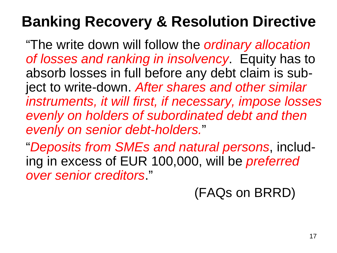"The write down will follow the *ordinary allocation of losses and ranking in insolvency*. Equity has to absorb losses in full before any debt claim is subject to write-down. *After shares and other similar instruments, it will first, if necessary, impose losses evenly on holders of subordinated debt and then evenly on senior debt-holders.*"

"*Deposits from SMEs and natural persons*, including in excess of EUR 100,000, will be *preferred over senior creditors*."

(FAQs on BRRD)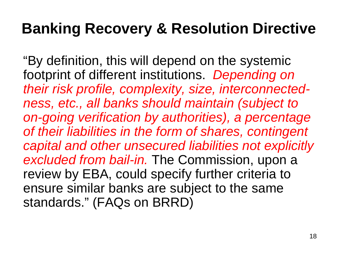"By definition, this will depend on the systemic footprint of different institutions. *Depending on their risk profile, complexity, size, interconnectedness, etc., all banks should maintain (subject to on-going verification by authorities), a percentage of their liabilities in the form of shares, contingent capital and other unsecured liabilities not explicitly excluded from bail-in.* The Commission, upon a review by EBA, could specify further criteria to ensure similar banks are subject to the same standards." (FAQs on BRRD)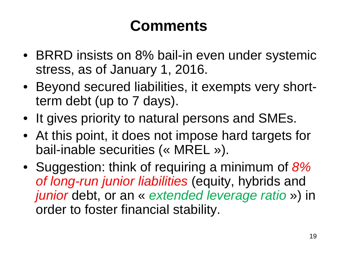#### **Comments**

- BRRD insists on 8% bail-in even under systemic stress, as of January 1, 2016.
- Beyond secured liabilities, it exempts very shortterm debt (up to 7 days).
- It gives priority to natural persons and SMEs.
- At this point, it does not impose hard targets for bail-inable securities (« MREL »).
- Suggestion: think of requiring a minimum of *8% of long-run junior liabilities* (equity, hybrids and *junior* debt, or an « *extended leverage ratio* ») in order to foster financial stability.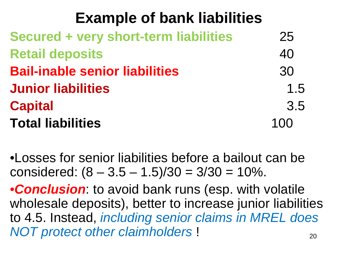#### **Example of bank liabilities**

| Secured + very short-term liabilities | 25  |
|---------------------------------------|-----|
| <b>Retail deposits</b>                | 40  |
| <b>Bail-inable senior liabilities</b> | 30  |
| <b>Junior liabilities</b>             | 1.5 |
| <b>Capital</b>                        | 3.5 |
| <b>Total liabilities</b>              | 100 |

•Losses for senior liabilities before a bailout can be considered:  $(8 - 3.5 - 1.5)/30 = 3/30 = 10\%$ .

20 •*Conclusion*: to avoid bank runs (esp. with volatile wholesale deposits), better to increase junior liabilities to 4.5. Instead, *including senior claims in MREL does NOT protect other claimholders* !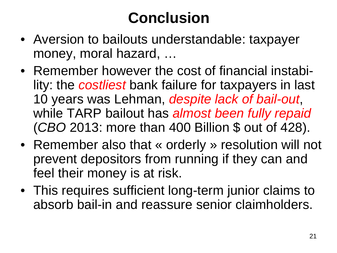## **Conclusion**

- Aversion to bailouts understandable: taxpayer money, moral hazard, …
- Remember however the cost of financial instability: the *costliest* bank failure for taxpayers in last 10 years was Lehman, *despite lack of bail-out*, while TARP bailout has *almost been fully repaid*  (*CBO* 2013: more than 400 Billion \$ out of 428).
- Remember also that « orderly » resolution will not prevent depositors from running if they can and feel their money is at risk.
- This requires sufficient long-term junior claims to absorb bail-in and reassure senior claimholders.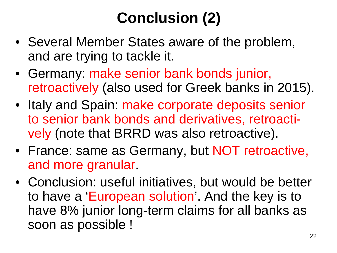## **Conclusion (2)**

- Several Member States aware of the problem, and are trying to tackle it.
- Germany: make senior bank bonds junior, retroactively (also used for Greek banks in 2015).
- Italy and Spain: make corporate deposits senior to senior bank bonds and derivatives, retroactively (note that BRRD was also retroactive).
- France: same as Germany, but NOT retroactive, and more granular.
- Conclusion: useful initiatives, but would be better to have a 'European solution'. And the key is to have 8% junior long-term claims for all banks as soon as possible !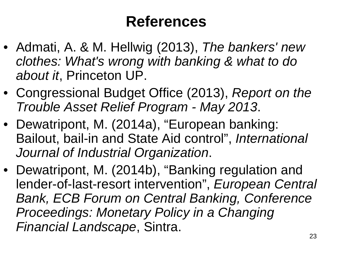#### **References**

- Admati, A. & M. Hellwig (2013), *The bankers' new clothes: What's wrong with banking & what to do about it*, Princeton UP.
- Congressional Budget Office (2013), *Report on the Trouble Asset Relief Program - May 2013*.
- Dewatripont, M. (2014a), "European banking: Bailout, bail-in and State Aid control", *International Journal of Industrial Organization*.
- Dewatripont, M. (2014b), "Banking regulation and lender-of-last-resort intervention", *European Central Bank, ECB Forum on Central Banking, Conference Proceedings: Monetary Policy in a Changing Financial Landscape*, Sintra.